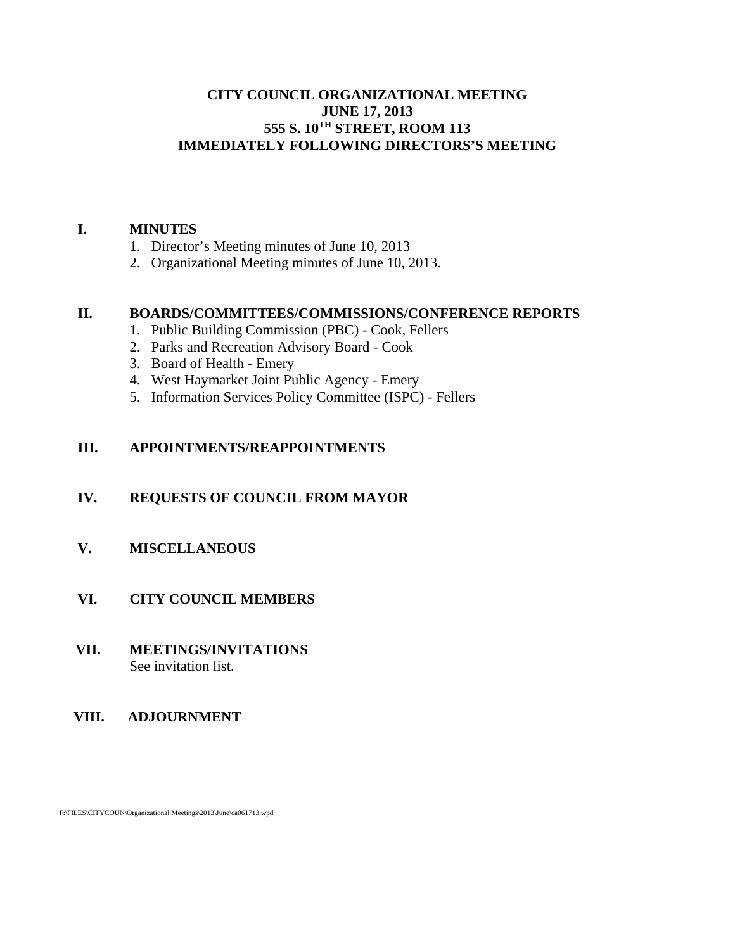# **CITY COUNCIL ORGANIZATIONAL MEETING JUNE 17, 2013 555 S. 10TH STREET, ROOM 113 IMMEDIATELY FOLLOWING DIRECTORS'S MEETING**

## **I. MINUTES**

- 1. Director's Meeting minutes of June 10, 2013
- 2. Organizational Meeting minutes of June 10, 2013.

## **II. BOARDS/COMMITTEES/COMMISSIONS/CONFERENCE REPORTS**

- 1. Public Building Commission (PBC) Cook, Fellers
- 2. Parks and Recreation Advisory Board Cook
- 3. Board of Health Emery
- 4. West Haymarket Joint Public Agency Emery
- 5. Information Services Policy Committee (ISPC) Fellers

## **III. APPOINTMENTS/REAPPOINTMENTS**

## **IV. REQUESTS OF COUNCIL FROM MAYOR**

## **V. MISCELLANEOUS**

## **VI. CITY COUNCIL MEMBERS**

 **VII. MEETINGS/INVITATIONS** See invitation list.

## **VIII. ADJOURNMENT**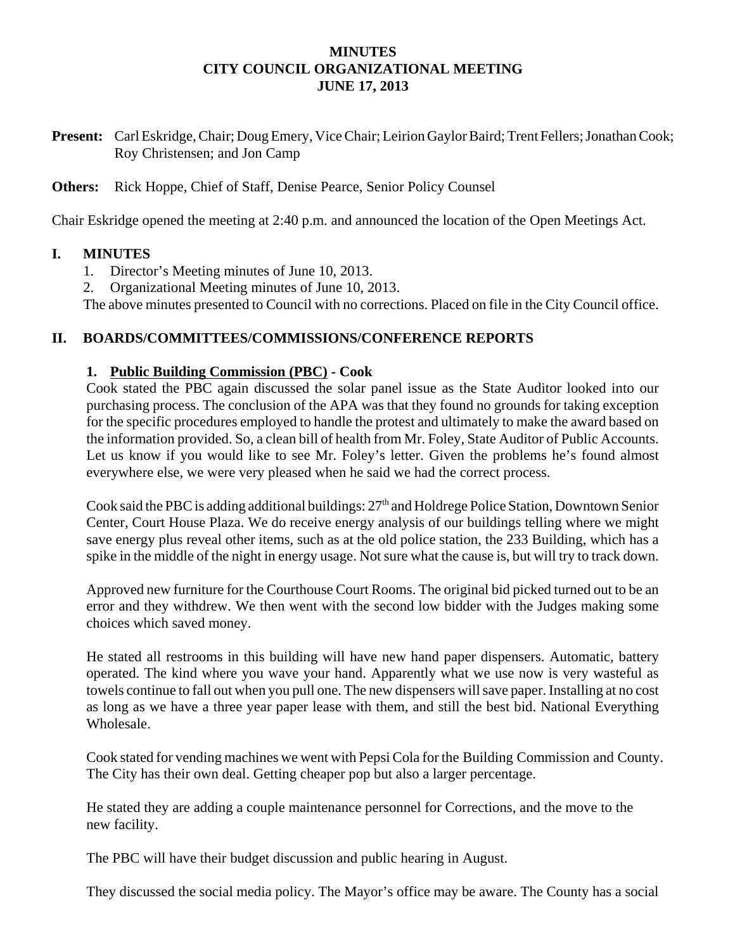# **MINUTES CITY COUNCIL ORGANIZATIONAL MEETING JUNE 17, 2013**

**Present:** Carl Eskridge, Chair; Doug Emery, Vice Chair; Leirion Gaylor Baird; Trent Fellers; Jonathan Cook; Roy Christensen; and Jon Camp

**Others:** Rick Hoppe, Chief of Staff, Denise Pearce, Senior Policy Counsel

Chair Eskridge opened the meeting at 2:40 p.m. and announced the location of the Open Meetings Act.

#### **I. MINUTES**

- 1. Director's Meeting minutes of June 10, 2013.
- 2. Organizational Meeting minutes of June 10, 2013.

The above minutes presented to Council with no corrections. Placed on file in the City Council office.

#### **II. BOARDS/COMMITTEES/COMMISSIONS/CONFERENCE REPORTS**

## **1. Public Building Commission (PBC) - Cook**

Cook stated the PBC again discussed the solar panel issue as the State Auditor looked into our purchasing process. The conclusion of the APA was that they found no grounds for taking exception for the specific procedures employed to handle the protest and ultimately to make the award based on the information provided. So, a clean bill of health from Mr. Foley, State Auditor of Public Accounts. Let us know if you would like to see Mr. Foley's letter. Given the problems he's found almost everywhere else, we were very pleased when he said we had the correct process.

Cook said the PBC is adding additional buildings:  $27<sup>th</sup>$  and Holdrege Police Station, Downtown Senior Center, Court House Plaza. We do receive energy analysis of our buildings telling where we might save energy plus reveal other items, such as at the old police station, the 233 Building, which has a spike in the middle of the night in energy usage. Not sure what the cause is, but will try to track down.

Approved new furniture for the Courthouse Court Rooms. The original bid picked turned out to be an error and they withdrew. We then went with the second low bidder with the Judges making some choices which saved money.

He stated all restrooms in this building will have new hand paper dispensers. Automatic, battery operated. The kind where you wave your hand. Apparently what we use now is very wasteful as towels continue to fall out when you pull one. The new dispensers will save paper. Installing at no cost as long as we have a three year paper lease with them, and still the best bid. National Everything Wholesale.

 Cook stated for vending machines we went with Pepsi Cola for the Building Commission and County. The City has their own deal. Getting cheaper pop but also a larger percentage.

He stated they are adding a couple maintenance personnel for Corrections, and the move to the new facility.

The PBC will have their budget discussion and public hearing in August.

They discussed the social media policy. The Mayor's office may be aware. The County has a social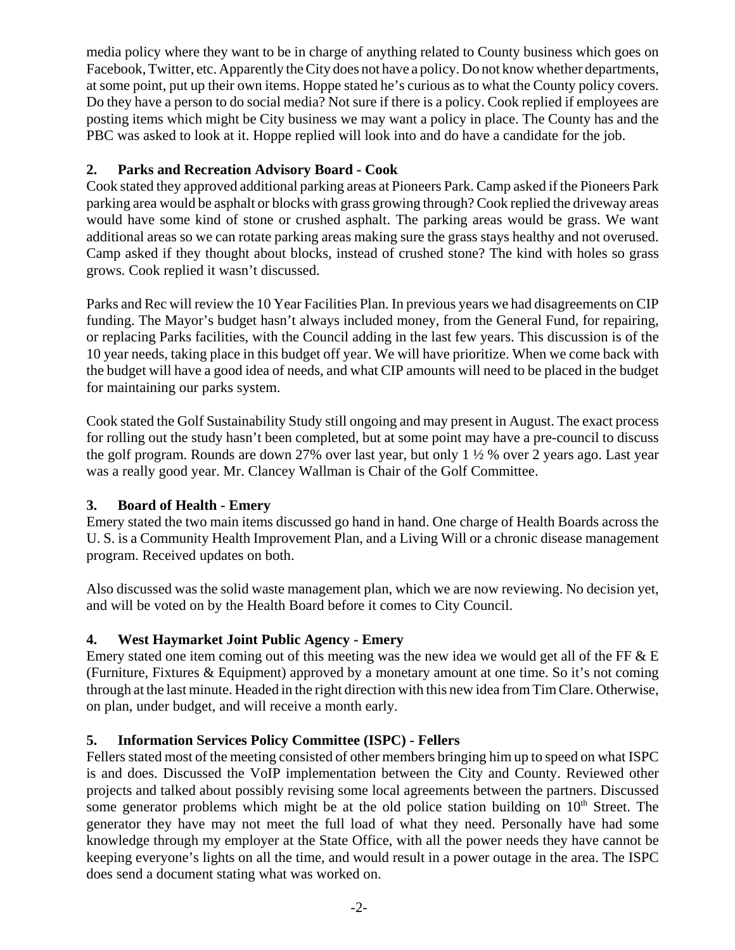media policy where they want to be in charge of anything related to County business which goes on Facebook, Twitter, etc. Apparently the City does not have a policy. Do not know whether departments, at some point, put up their own items. Hoppe stated he's curious as to what the County policy covers. Do they have a person to do social media? Not sure if there is a policy. Cook replied if employees are posting items which might be City business we may want a policy in place. The County has and the PBC was asked to look at it. Hoppe replied will look into and do have a candidate for the job.

# **2. Parks and Recreation Advisory Board - Cook**

Cook stated they approved additional parking areas at Pioneers Park. Camp asked if the Pioneers Park parking area would be asphalt or blocks with grass growing through? Cook replied the driveway areas would have some kind of stone or crushed asphalt. The parking areas would be grass. We want additional areas so we can rotate parking areas making sure the grass stays healthy and not overused. Camp asked if they thought about blocks, instead of crushed stone? The kind with holes so grass grows. Cook replied it wasn't discussed.

Parks and Rec will review the 10 Year Facilities Plan. In previous years we had disagreements on CIP funding. The Mayor's budget hasn't always included money, from the General Fund, for repairing, or replacing Parks facilities, with the Council adding in the last few years. This discussion is of the 10 year needs, taking place in this budget off year. We will have prioritize. When we come back with the budget will have a good idea of needs, and what CIP amounts will need to be placed in the budget for maintaining our parks system.

Cook stated the Golf Sustainability Study still ongoing and may present in August. The exact process for rolling out the study hasn't been completed, but at some point may have a pre-council to discuss the golf program. Rounds are down 27% over last year, but only 1 ½ % over 2 years ago. Last year was a really good year. Mr. Clancey Wallman is Chair of the Golf Committee.

# **3. Board of Health - Emery**

Emery stated the two main items discussed go hand in hand. One charge of Health Boards across the U. S. is a Community Health Improvement Plan, and a Living Will or a chronic disease management program. Received updates on both.

Also discussed was the solid waste management plan, which we are now reviewing. No decision yet, and will be voted on by the Health Board before it comes to City Council.

# **4. West Haymarket Joint Public Agency - Emery**

Emery stated one item coming out of this meeting was the new idea we would get all of the FF  $\&$  E (Furniture, Fixtures & Equipment) approved by a monetary amount at one time. So it's not coming through at the last minute. Headed in the right direction with this new idea from Tim Clare. Otherwise, on plan, under budget, and will receive a month early.

# **5. Information Services Policy Committee (ISPC) - Fellers**

Fellers stated most of the meeting consisted of other members bringing him up to speed on what ISPC is and does. Discussed the VoIP implementation between the City and County. Reviewed other projects and talked about possibly revising some local agreements between the partners. Discussed some generator problems which might be at the old police station building on  $10<sup>th</sup>$  Street. The generator they have may not meet the full load of what they need. Personally have had some knowledge through my employer at the State Office, with all the power needs they have cannot be keeping everyone's lights on all the time, and would result in a power outage in the area. The ISPC does send a document stating what was worked on.